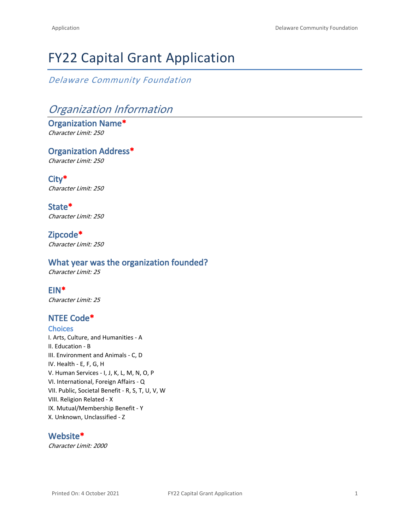# FY22 Capital Grant Application

*Delaware Community Foundation*

# *Organization Information*

**Organization Name\*** *Character Limit: 250*

**Organization Address\*** *Character Limit: 250*

**City\*** *Character Limit: 250*

**State\*** *Character Limit: 250*

**Zipcode\*** *Character Limit: 250*

# **What year was the organization founded?**

*Character Limit: 25*

# **EIN\***

*Character Limit: 25*

# **NTEE Code\***

**Choices** I. Arts, Culture, and Humanities - A II. Education - B III. Environment and Animals - C, D IV. Health - E, F, G, H V. Human Services - I, J, K, L, M, N, O, P VI. International, Foreign Affairs - Q VII. Public, Societal Benefit - R, S, T, U, V, W VIII. Religion Related - X IX. Mutual/Membership Benefit - Y X. Unknown, Unclassified - Z

### **Website\***

*Character Limit: 2000*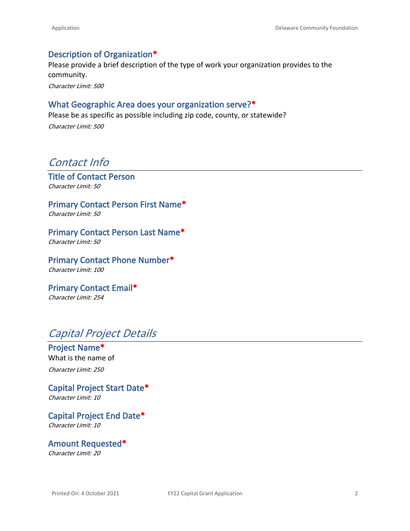# **Description of Organization\***

Please provide a brief description of the type of work your organization provides to the community.

*Character Limit: 500*

# **What Geographic Area does your organization serve?\***

Please be as specific as possible including zip code, county, or statewide?

*Character Limit: 500*

# *Contact Info*

**Title of Contact Person** *Character Limit: 50*

**Primary Contact Person First Name\*** *Character Limit: 50*

**Primary Contact Person Last Name\*** *Character Limit: 50*

**Primary Contact Phone Number\*** *Character Limit: 100*

**Primary Contact Email\*** *Character Limit: 254*

# *Capital Project Details*

**Project Name\*** What is the name of *Character Limit: 250*

**Capital Project Start Date\*** *Character Limit: 10*

**Capital Project End Date\*** *Character Limit: 10*

**Amount Requested\***

*Character Limit: 20*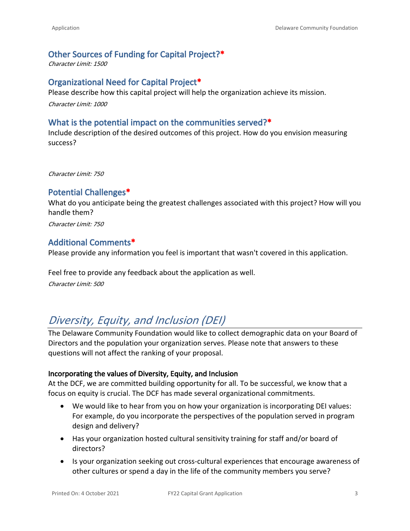# **Other Sources of Funding for Capital Project?\***

*Character Limit: 1500*

# **Organizational Need for Capital Project\***

Please describe how this capital project will help the organization achieve its mission.

*Character Limit: 1000*

### **What is the potential impact on the communities served?\***

Include description of the desired outcomes of this project. How do you envision measuring success?

*Character Limit: 750*

# **Potential Challenges\***

What do you anticipate being the greatest challenges associated with this project? How will you handle them?

*Character Limit: 750*

# **Additional Comments\***

Please provide any information you feel is important that wasn't covered in this application.

Feel free to provide any feedback about the application as well. *Character Limit: 500*

# *Diversity, Equity, and Inclusion (DEI)*

The Delaware Community Foundation would like to collect demographic data on your Board of Directors and the population your organization serves. Please note that answers to these questions will not affect the ranking of your proposal.

#### **Incorporating the values of Diversity, Equity, and Inclusion**

At the DCF, we are committed building opportunity for all. To be successful, we know that a focus on equity is crucial. The DCF has made several organizational commitments.

- We would like to hear from you on how your organization is incorporating DEI values: For example, do you incorporate the perspectives of the population served in program design and delivery?
- Has your organization hosted cultural sensitivity training for staff and/or board of directors?
- Is your organization seeking out cross-cultural experiences that encourage awareness of other cultures or spend a day in the life of the community members you serve?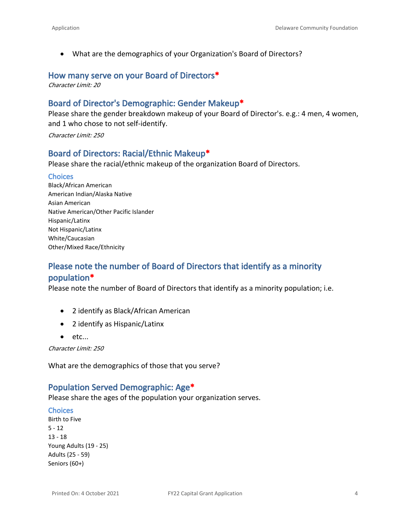• What are the demographics of your Organization's Board of Directors?

#### **How many serve on your Board of Directors\***

*Character Limit: 20*

# **Board of Director's Demographic: Gender Makeup\***

Please share the gender breakdown makeup of your Board of Director's. e.g.: 4 men, 4 women, and 1 who chose to not self-identify.

*Character Limit: 250*

# **Board of Directors: Racial/Ethnic Makeup\***

Please share the racial/ethnic makeup of the organization Board of Directors.

#### **Choices**

Black/African American American Indian/Alaska Native Asian American Native American/Other Pacific Islander Hispanic/Latinx Not Hispanic/Latinx White/Caucasian Other/Mixed Race/Ethnicity

# **Please note the number of Board of Directors that identify as a minority population\***

Please note the number of Board of Directors that identify as a minority population; i.e.

- 2 identify as Black/African American
- 2 identify as Hispanic/Latinx
- $\bullet$  etc...

*Character Limit: 250*

What are the demographics of those that you serve?

### **Population Served Demographic: Age\***

Please share the ages of the population your organization serves.

#### **Choices**

Birth to Five 5 - 12 13 - 18 Young Adults (19 - 25) Adults (25 - 59) Seniors (60+)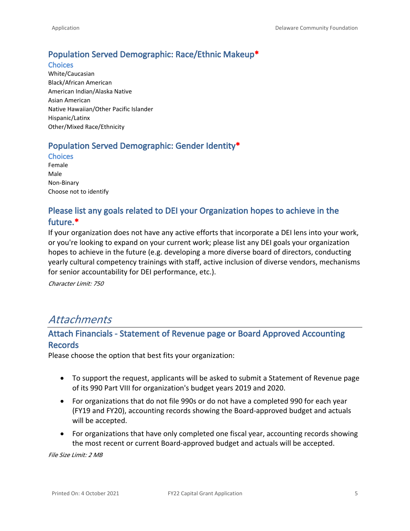# **Population Served Demographic: Race/Ethnic Makeup\***

**Choices** White/Caucasian Black/African American American Indian/Alaska Native Asian American Native Hawaiian/Other Pacific Islander Hispanic/Latinx Other/Mixed Race/Ethnicity

# **Population Served Demographic: Gender Identity\***

**Choices** Female Male

Non-Binary Choose not to identify

# **Please list any goals related to DEI your Organization hopes to achieve in the future.\***

If your organization does not have any active efforts that incorporate a DEI lens into your work, or you're looking to expand on your current work; please list any DEI goals your organization hopes to achieve in the future (e.g. developing a more diverse board of directors, conducting yearly cultural competency trainings with staff, active inclusion of diverse vendors, mechanisms for senior accountability for DEI performance, etc.).

*Character Limit: 750*

# *Attachments*

# **Attach Financials - Statement of Revenue page or Board Approved Accounting Records**

Please choose the option that best fits your organization:

- To support the request, applicants will be asked to submit a Statement of Revenue page of its 990 Part VIII for organization's budget years 2019 and 2020.
- For organizations that do not file 990s or do not have a completed 990 for each year (FY19 and FY20), accounting records showing the Board-approved budget and actuals will be accepted.
- For organizations that have only completed one fiscal year, accounting records showing the most recent or current Board-approved budget and actuals will be accepted.

*File Size Limit: 2 MB*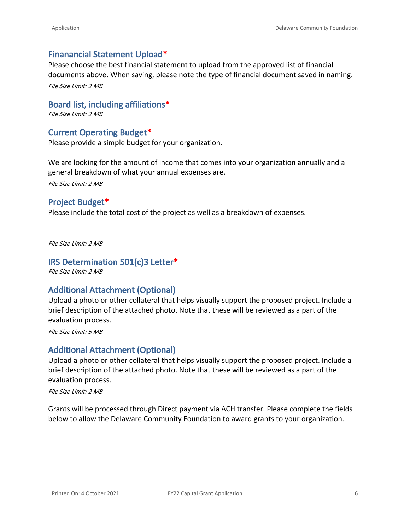# **Finanancial Statement Upload\***

Please choose the best financial statement to upload from the approved list of financial documents above. When saving, please note the type of financial document saved in naming. *File Size Limit: 2 MB*

**Board list, including affiliations\***

*File Size Limit: 2 MB*

# **Current Operating Budget\***

Please provide a simple budget for your organization.

We are looking for the amount of income that comes into your organization annually and a general breakdown of what your annual expenses are.

*File Size Limit: 2 MB*

# **Project Budget\***

Please include the total cost of the project as well as a breakdown of expenses.

*File Size Limit: 2 MB*

### **IRS Determination 501(c)3 Letter\***

*File Size Limit: 2 MB*

### **Additional Attachment (Optional)**

Upload a photo or other collateral that helps visually support the proposed project. Include a brief description of the attached photo. Note that these will be reviewed as a part of the evaluation process.

*File Size Limit: 5 MB*

### **Additional Attachment (Optional)**

Upload a photo or other collateral that helps visually support the proposed project. Include a brief description of the attached photo. Note that these will be reviewed as a part of the evaluation process.

*File Size Limit: 2 MB*

Grants will be processed through Direct payment via ACH transfer. Please complete the fields below to allow the Delaware Community Foundation to award grants to your organization.